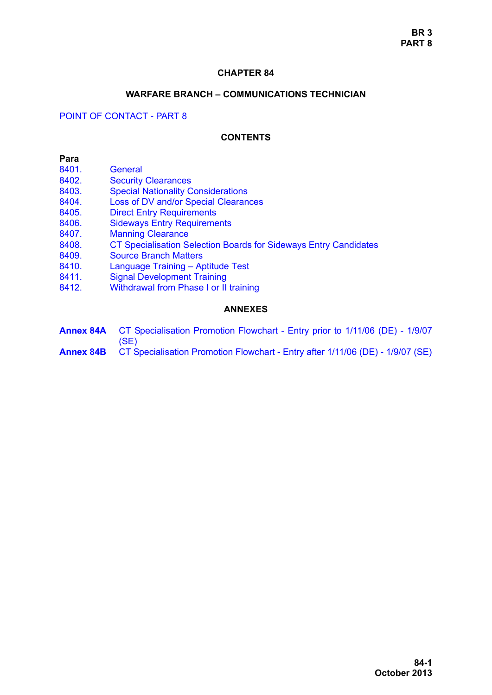## **CHAPTER 84**

### **WARFARE BRANCH – COMMUNICATIONS TECHNICIAN**

## POINT OF CONTACT - PART 8

#### **CONTENTS**

#### **Para**

- 8401 General
- [8402. Security Clearances](#page-1-1)
- [8403. Special Nationality Considerations](#page-2-0)
- [8404. Loss of DV and/or Special Clearances](#page-2-1)
- [8405. Direct Entry Requirements](#page-2-2)
- [8406. Sideways Entry Requirements](#page-3-0)
- [8407. Manning Clearance](#page-3-1)
- [8408. CT Specialisation Selection Boards for Sideways Entry Candidates](#page-3-2)
- [8409. Source Branch Matters](#page-4-0)
- [8410. Language Training Aptitude Test](#page-4-1)
- [8411. Signal Development Training](#page-4-2)
- 8412. Withdrawal from Phase I or II training

#### **ANNEXES**

**Annex 84A** CT Specialisation Promotion Flowchart - Entry prior to 1/11/06 (DE) - 1/9/07 (SE) **Annex 84B** CT Specialisation Promotion Flowchart - Entry after 1/11/06 (DE) - 1/9/07 (SE)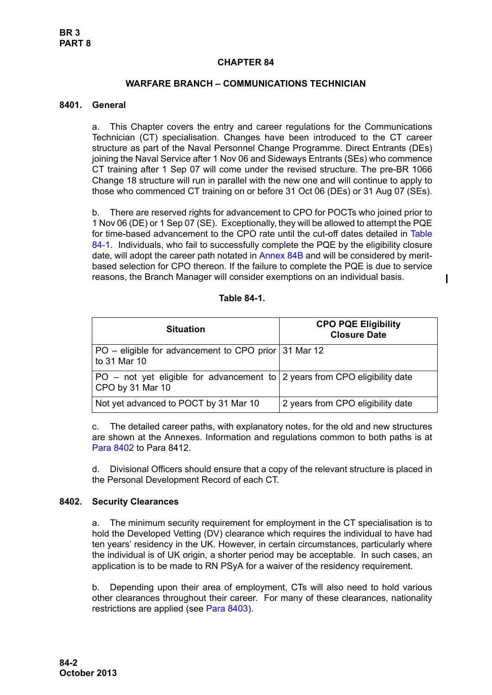## **CHAPTER 84**

## **WARFARE BRANCH – COMMUNICATIONS TECHNICIAN**

### <span id="page-1-0"></span>**8401. General**

a. This Chapter covers the entry and career regulations for the Communications Technician (CT) specialisation. Changes have been introduced to the CT career structure as part of the Naval Personnel Change Programme. Direct Entrants (DEs) joining the Naval Service after 1 Nov 06 and Sideways Entrants (SEs) who commence CT training after 1 Sep 07 will come under the revised structure. The pre-BR 1066 Change 18 structure will run in parallel with the new one and will continue to apply to those who commenced CT training on or before 31 Oct 06 (DEs) or 31 Aug 07 (SEs).

b. There are reserved rights for advancement to CPO for POCTs who joined prior to 1 Nov 06 (DE) or 1 Sep 07 (SE). Exceptionally, they will be allowed to attempt the PQE for time-based advancement to the CPO rate until the cut-off dates detailed in [Table](#page-1-2) [84-1.](#page-1-2) Individuals, who fail to successfully complete the PQE by the eligibility closure date, will adopt the career path notated in Annex 84B and will be considered by meritbased selection for CPO thereon. If the failure to complete the PQE is due to service reasons, the Branch Manager will consider exemptions on an individual basis.

#### **Table 84-1.**

<span id="page-1-2"></span>

| <b>Situation</b>                                                                                 | <b>CPO PQE Eligibility</b><br><b>Closure Date</b> |
|--------------------------------------------------------------------------------------------------|---------------------------------------------------|
| PO – eligible for advancement to CPO prior 31 Mar 12<br>to 31 Mar 10                             |                                                   |
| PO - not yet eligible for advancement to   2 years from CPO eligibility date<br>CPO by 31 Mar 10 |                                                   |
| Not yet advanced to POCT by 31 Mar 10                                                            | 2 years from CPO eligibility date                 |

c. The detailed career paths, with explanatory notes, for the old and new structures are shown at the Annexes. Information and regulations common to both paths is at [Para 8402](#page-1-1) to [Para 8412](#page-5-0).

d. Divisional Officers should ensure that a copy of the relevant structure is placed in the Personal Development Record of each CT.

#### <span id="page-1-1"></span>**8402. Security Clearances**

a. The minimum security requirement for employment in the CT specialisation is to hold the Developed Vetting (DV) clearance which requires the individual to have had ten years' residency in the UK. However, in certain circumstances, particularly where the individual is of UK origin, a shorter period may be acceptable. In such cases, an application is to be made to RN PSyA for a waiver of the residency requirement.

b. Depending upon their area of employment, CTs will also need to hold various other clearances throughout their career. For many of these clearances, nationality restrictions are applied (see [Para 8403](#page-2-0)).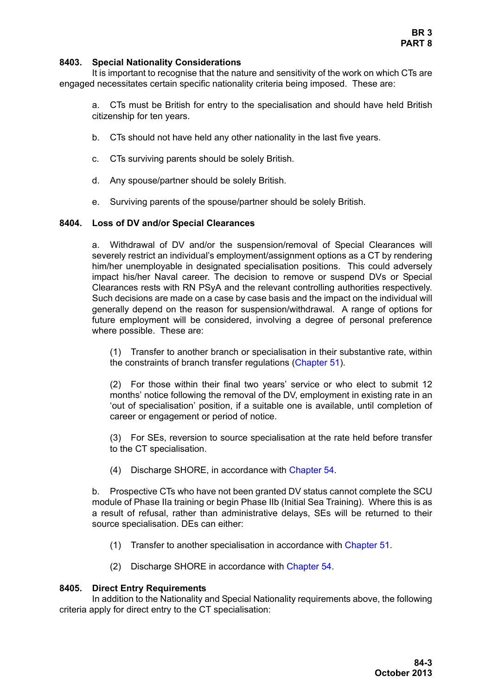### <span id="page-2-0"></span>**8403. Special Nationality Considerations**

It is important to recognise that the nature and sensitivity of the work on which CTs are engaged necessitates certain specific nationality criteria being imposed. These are:

a. CTs must be British for entry to the specialisation and should have held British citizenship for ten years.

- b. CTs should not have held any other nationality in the last five years.
- c. CTs surviving parents should be solely British.
- d. Any spouse/partner should be solely British.
- e. Surviving parents of the spouse/partner should be solely British.

### <span id="page-2-1"></span>**8404. Loss of DV and/or Special Clearances**

a. Withdrawal of DV and/or the suspension/removal of Special Clearances will severely restrict an individual's employment/assignment options as a CT by rendering him/her unemployable in designated specialisation positions. This could adversely impact his/her Naval career. The decision to remove or suspend DVs or Special Clearances rests with RN PSyA and the relevant controlling authorities respectively. Such decisions are made on a case by case basis and the impact on the individual will generally depend on the reason for suspension/withdrawal. A range of options for future employment will be considered, involving a degree of personal preference where possible. These are:

(1) Transfer to another branch or specialisation in their substantive rate, within the constraints of branch transfer regulations (Chapter 51).

(2) For those within their final two years' service or who elect to submit 12 months' notice following the removal of the DV, employment in existing rate in an 'out of specialisation' position, if a suitable one is available, until completion of career or engagement or period of notice.

(3) For SEs, reversion to source specialisation at the rate held before transfer to the CT specialisation.

(4) Discharge SHORE, in accordance with Chapter 54.

b. Prospective CTs who have not been granted DV status cannot complete the SCU module of Phase IIa training or begin Phase IIb (Initial Sea Training). Where this is as a result of refusal, rather than administrative delays, SEs will be returned to their source specialisation. DEs can either:

- (1) Transfer to another specialisation in accordance with Chapter 51.
- (2) Discharge SHORE in accordance with Chapter 54.

### <span id="page-2-2"></span>**8405. Direct Entry Requirements**

In addition to the Nationality and Special Nationality requirements above, the following criteria apply for direct entry to the CT specialisation: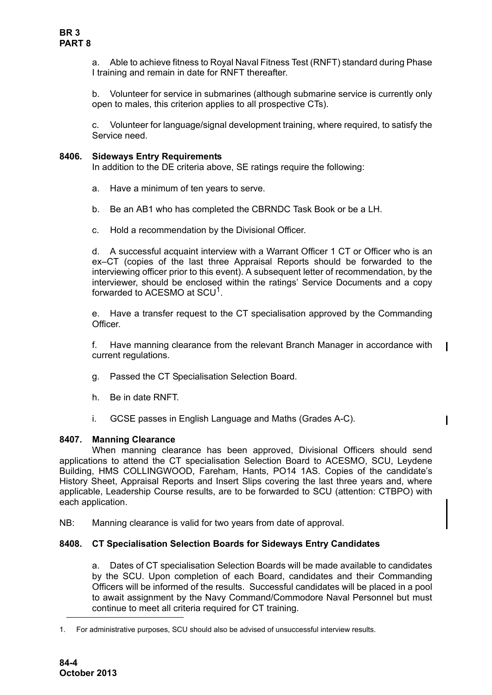a. Able to achieve fitness to Royal Naval Fitness Test (RNFT) standard during Phase I training and remain in date for RNFT thereafter.

b. Volunteer for service in submarines (although submarine service is currently only open to males, this criterion applies to all prospective CTs).

c. Volunteer for language/signal development training, where required, to satisfy the Service need.

## <span id="page-3-0"></span>**8406. Sideways Entry Requirements**

In addition to the DE criteria above, SE ratings require the following:

- a. Have a minimum of ten years to serve.
- b. Be an AB1 who has completed the CBRNDC Task Book or be a LH.
- c. Hold a recommendation by the Divisional Officer.

d. A successful acquaint interview with a Warrant Officer 1 CT or Officer who is an ex–CT (copies of the last three Appraisal Reports should be forwarded to the interviewing officer prior to this event). A subsequent letter of recommendation, by the interviewer, should be enclosed within the ratings' Service Documents and a copy forwarded to ACESMO at SCU<sup>1</sup>.

e. Have a transfer request to the CT specialisation approved by the Commanding Officer.

f. Have manning clearance from the relevant Branch Manager in accordance with current regulations.

 $\blacksquare$ 

- g. Passed the CT Specialisation Selection Board.
- h. Be in date RNFT.
- i. GCSE passes in English Language and Maths (Grades A-C).

### <span id="page-3-1"></span>**8407. Manning Clearance**

When manning clearance has been approved, Divisional Officers should send applications to attend the CT specialisation Selection Board to ACESMO, SCU, Leydene Building, HMS COLLINGWOOD, Fareham, Hants, PO14 1AS. Copies of the candidate's History Sheet, Appraisal Reports and Insert Slips covering the last three years and, where applicable, Leadership Course results, are to be forwarded to SCU (attention: CTBPO) with each application.

NB: Manning clearance is valid for two years from date of approval.

### <span id="page-3-2"></span>**8408. CT Specialisation Selection Boards for Sideways Entry Candidates**

a. Dates of CT specialisation Selection Boards will be made available to candidates by the SCU. Upon completion of each Board, candidates and their Commanding Officers will be informed of the results. Successful candidates will be placed in a pool to await assignment by the Navy Command/Commodore Naval Personnel but must continue to meet all criteria required for CT training.

<sup>1.</sup> For administrative purposes, SCU should also be advised of unsuccessful interview results.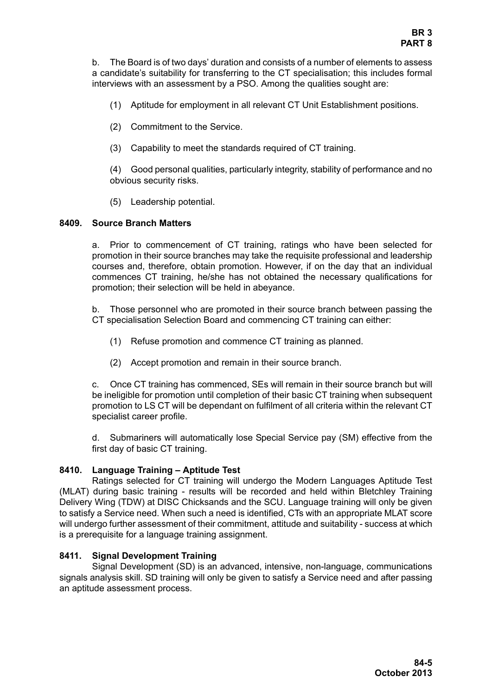b. The Board is of two days' duration and consists of a number of elements to assess a candidate's suitability for transferring to the CT specialisation; this includes formal interviews with an assessment by a PSO. Among the qualities sought are:

- (1) Aptitude for employment in all relevant CT Unit Establishment positions.
- (2) Commitment to the Service.
- (3) Capability to meet the standards required of CT training.

(4) Good personal qualities, particularly integrity, stability of performance and no obvious security risks.

(5) Leadership potential.

## <span id="page-4-0"></span>**8409. Source Branch Matters**

a. Prior to commencement of CT training, ratings who have been selected for promotion in their source branches may take the requisite professional and leadership courses and, therefore, obtain promotion. However, if on the day that an individual commences CT training, he/she has not obtained the necessary qualifications for promotion; their selection will be held in abeyance.

b. Those personnel who are promoted in their source branch between passing the CT specialisation Selection Board and commencing CT training can either:

- (1) Refuse promotion and commence CT training as planned.
- (2) Accept promotion and remain in their source branch.

c. Once CT training has commenced, SEs will remain in their source branch but will be ineligible for promotion until completion of their basic CT training when subsequent promotion to LS CT will be dependant on fulfilment of all criteria within the relevant CT specialist career profile.

d. Submariners will automatically lose Special Service pay (SM) effective from the first day of basic CT training.

# <span id="page-4-1"></span>**8410. Language Training – Aptitude Test**

Ratings selected for CT training will undergo the Modern Languages Aptitude Test (MLAT) during basic training - results will be recorded and held within Bletchley Training Delivery Wing (TDW) at DISC Chicksands and the SCU. Language training will only be given to satisfy a Service need. When such a need is identified, CTs with an appropriate MLAT score will undergo further assessment of their commitment, attitude and suitability - success at which is a prerequisite for a language training assignment.

# <span id="page-4-2"></span>**8411. Signal Development Training**

Signal Development (SD) is an advanced, intensive, non-language, communications signals analysis skill. SD training will only be given to satisfy a Service need and after passing an aptitude assessment process.